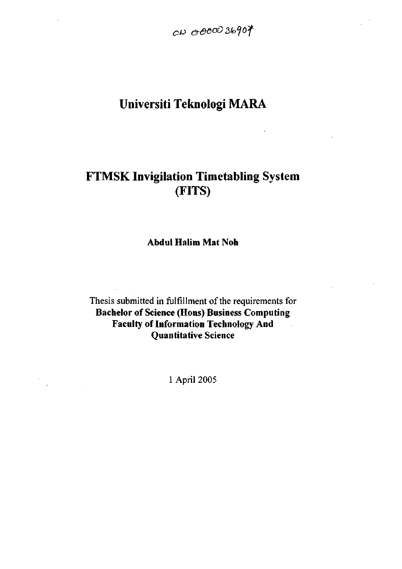$c\rho$  0000 36907

 $\overline{\phantom{a}}$ 

# **Universiti Teknologi MARA**

# **FTMSK Invigilation Timetabling System (FITS)**

**Abdul Halim Mat Noh** 

Thesis submitted in fulfillment of the requirements for **Bachelor of Science (Hons) Business Computing Faculty of Information Technology And Quantitative Science** 

1 April 2005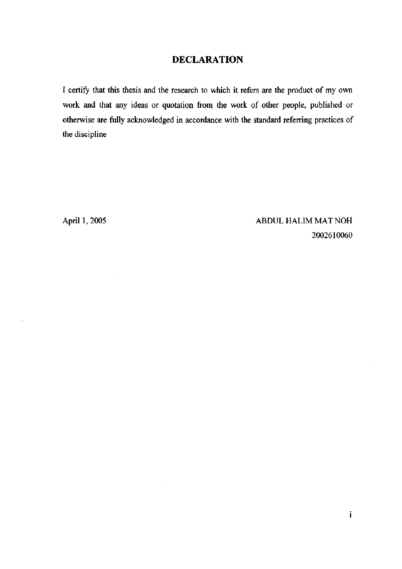## DECLARATION

I certify that this thesis and the research to which it refers are the product of my own work and that any ideas or quotation from the work of other people, published or otherwise are fully acknowledged in accordance with the standard referring practices of the discipline

 $\mathcal{L}$ 

April 1, 2005 ABDUL HALIM MAT NOH 2002610060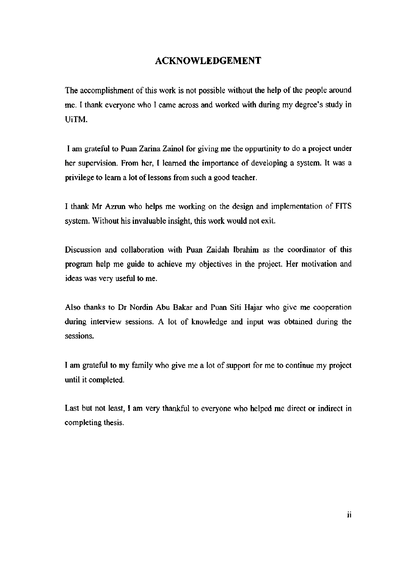### ACKNOWLEDGEMENT

The accomplishment of this work is not possible without the help of the people around me. I thank everyone who I came across and worked with during my degree's study in UiTM.

I am grateful to Puan Zarina Zainol for giving me the oppurtinity to do a project under her supervision. From her, I learned the importance of developing a system. It was a privilege to learn a lot of lessons from such a good teacher.

I thank Mr Azrun who helps me working on the design and implementation of FITS system. Without his invaluable insight, this work would not exit.

Discussion and collaboration with Puan Zaidah Ibrahim as the coordinator of this program help me guide to achieve my objectives in the project. Her motivation and ideas was very useftil to me.

Also thanks to Dr Nordin Abu Bakar and Puan Siti Hajar who give me cooperation during interview sessions. A lot of knowledge and input was obtained during the sessions.

I am grateful to my family who give me a lot of support for me to continue my project until it completed.

Last but not least, I am very thankful to everyone who helped me direct or indirect in completing thesis.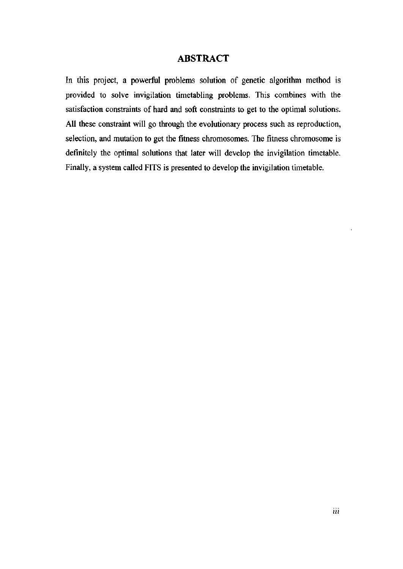#### ABSTRACT

In this project, a powerful problems solution of genetic algorithm method is provided to solve invigilation timetabling problems. This combines with the satisfaction constraints of hard and soft constraints to get to the optimal solutions. All these constraint will go through the evolutionary process such as reproduction, selection, and mutation to get the fitness chromosomes. The fitness chromosome is definitely the optimal solutions that later will develop the invigilation timetable. Finally, a system called FITS is presented to develop the invigilation timetable.